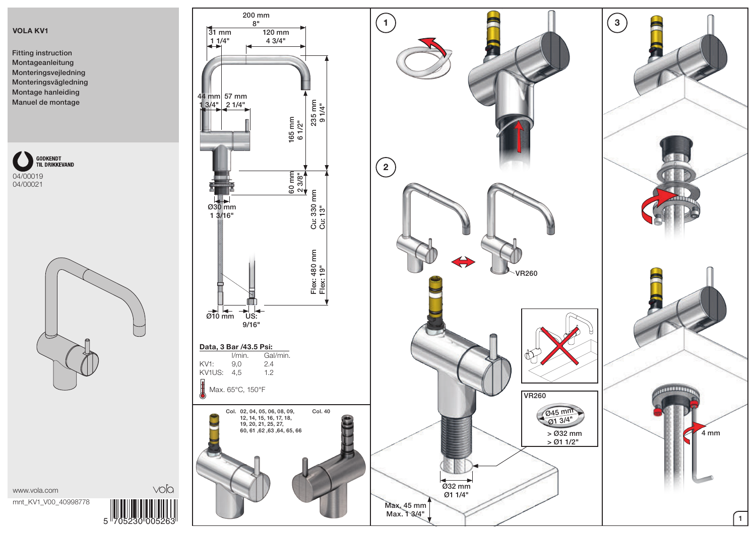## VOLA KV1

04/00019 04/00021

Fitting instruction Montageanleitung Monteringsvejledning Monteringsvägledning Montage hanleiding Manuel de montage

GODKENDT<br>T**i**l Drikkevand



5 705230 005263

voľa





www.vola.com mnt\_KV1\_V00\_40998778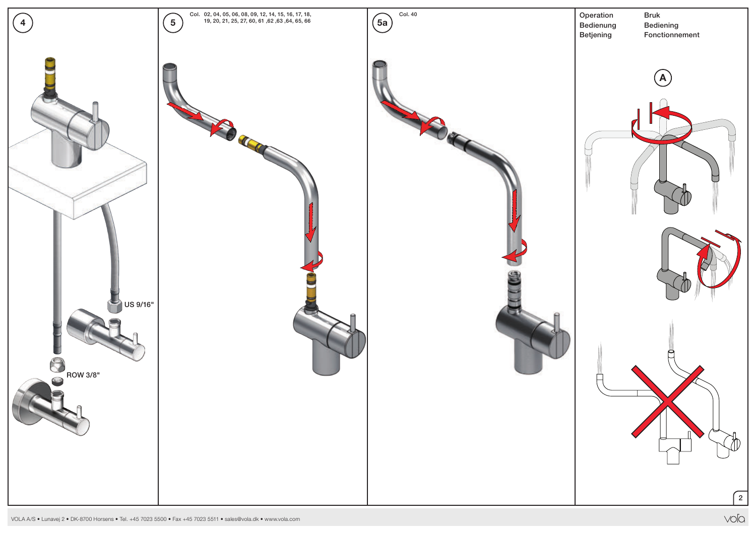